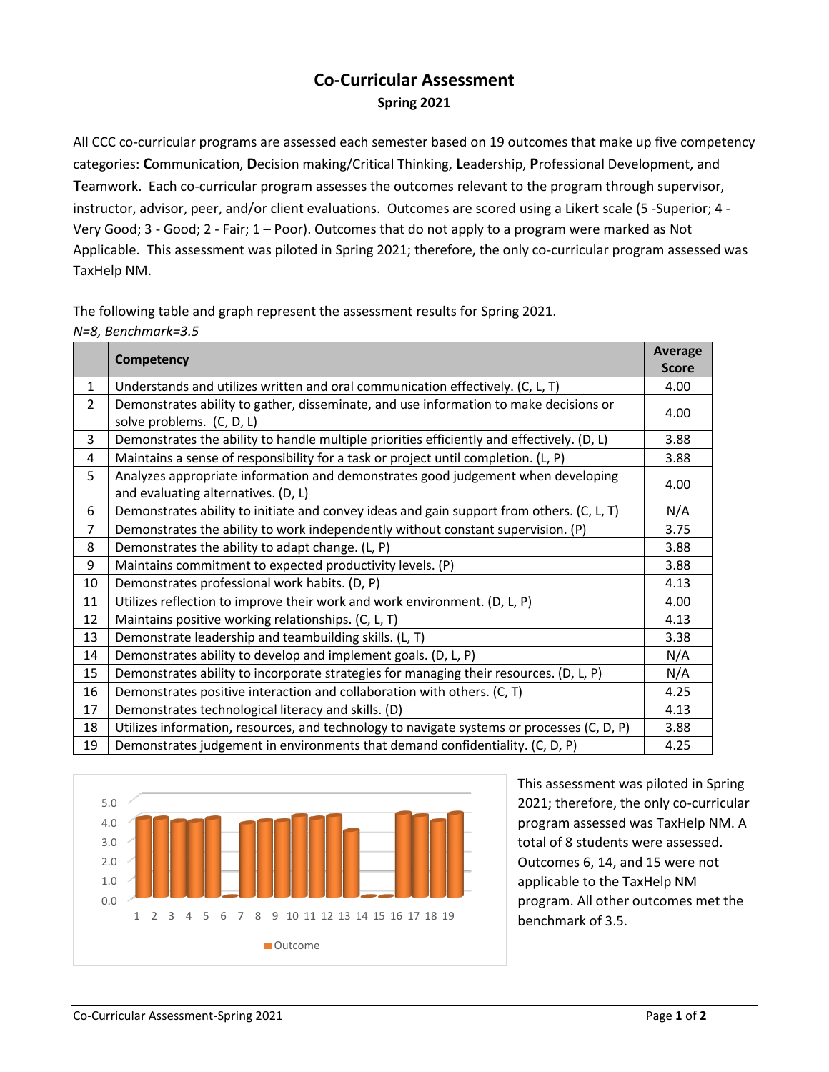## **Co-Curricular Assessment Spring 2021**

All CCC co-curricular programs are assessed each semester based on 19 outcomes that make up five competency categories: **C**ommunication, **D**ecision making/Critical Thinking, **L**eadership, **P**rofessional Development, and **T**eamwork. Each co-curricular program assesses the outcomes relevant to the program through supervisor, instructor, advisor, peer, and/or client evaluations. Outcomes are scored using a Likert scale (5 -Superior; 4 - Very Good; 3 - Good; 2 - Fair; 1 – Poor). Outcomes that do not apply to a program were marked as Not Applicable. This assessment was piloted in Spring 2021; therefore, the only co-curricular program assessed was TaxHelp NM.

| The following table and graph represent the assessment results for Spring 2021. |  |
|---------------------------------------------------------------------------------|--|
| N=8, Benchmark=3.5                                                              |  |

|                | Competency                                                                                                              | <b>Average</b><br><b>Score</b> |
|----------------|-------------------------------------------------------------------------------------------------------------------------|--------------------------------|
| 1              | Understands and utilizes written and oral communication effectively. (C, L, T)                                          | 4.00                           |
| $\overline{2}$ | Demonstrates ability to gather, disseminate, and use information to make decisions or<br>solve problems. (C, D, L)      | 4.00                           |
| 3              | Demonstrates the ability to handle multiple priorities efficiently and effectively. (D, L)                              | 3.88                           |
| 4              | Maintains a sense of responsibility for a task or project until completion. (L, P)                                      | 3.88                           |
| 5              | Analyzes appropriate information and demonstrates good judgement when developing<br>and evaluating alternatives. (D, L) | 4.00                           |
| 6              | Demonstrates ability to initiate and convey ideas and gain support from others. (C, L, T)                               | N/A                            |
| $\overline{7}$ | Demonstrates the ability to work independently without constant supervision. (P)                                        | 3.75                           |
| 8              | Demonstrates the ability to adapt change. (L, P)                                                                        | 3.88                           |
| 9              | Maintains commitment to expected productivity levels. (P)                                                               | 3.88                           |
| 10             | Demonstrates professional work habits. (D, P)                                                                           | 4.13                           |
| 11             | Utilizes reflection to improve their work and work environment. (D, L, P)                                               | 4.00                           |
| 12             | Maintains positive working relationships. (C, L, T)                                                                     | 4.13                           |
| 13             | Demonstrate leadership and teambuilding skills. (L, T)                                                                  | 3.38                           |
| 14             | Demonstrates ability to develop and implement goals. (D, L, P)                                                          | N/A                            |
| 15             | Demonstrates ability to incorporate strategies for managing their resources. (D, L, P)                                  | N/A                            |
| 16             | Demonstrates positive interaction and collaboration with others. (C, T)                                                 | 4.25                           |
| 17             | Demonstrates technological literacy and skills. (D)                                                                     | 4.13                           |
| 18             | Utilizes information, resources, and technology to navigate systems or processes (C, D, P)                              | 3.88                           |
| 19             | Demonstrates judgement in environments that demand confidentiality. (C, D, P)                                           | 4.25                           |



This assessment was piloted in Spring 2021; therefore, the only co-curricular program assessed was TaxHelp NM. A total of 8 students were assessed. Outcomes 6, 14, and 15 were not applicable to the TaxHelp NM program. All other outcomes met the benchmark of 3.5.